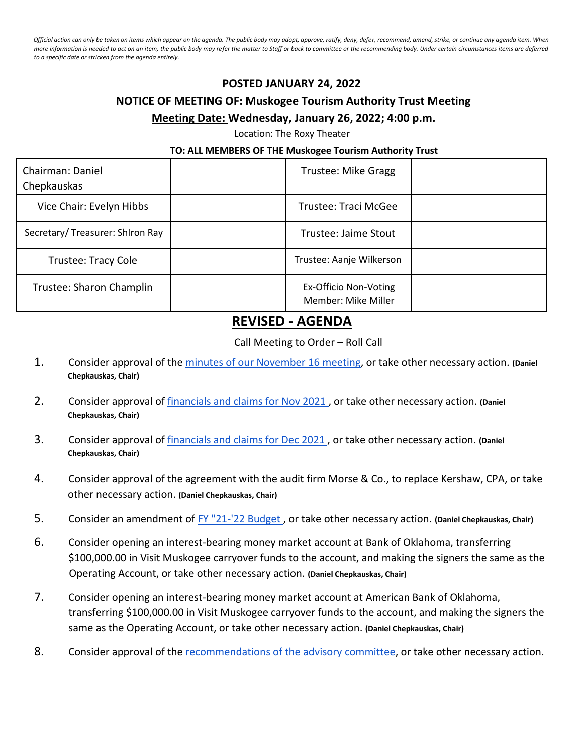*Official action can only be taken on items which appear on the agenda. The public body may adopt, approve, ratify, deny, defer, recommend, amend, strike, or continue any agenda item. When more information is needed to act on an item, the public body may refer the matter to Staff or back to committee or the recommending body. Under certain circumstances items are deferred to a specific date or stricken from the agenda entirely.*

## **POSTED JANUARY 24, 2022**

## **NOTICE OF MEETING OF: Muskogee Tourism Authority Trust Meeting Meeting Date: Wednesday, January 26, 2022; 4:00 p.m.**

Location: The Roxy Theater

## **TO: ALL MEMBERS OF THE Muskogee Tourism Authority Trust**

| Chairman: Daniel<br>Chepkauskas | Trustee: Mike Gragg                          |  |
|---------------------------------|----------------------------------------------|--|
| Vice Chair: Evelyn Hibbs        | Trustee: Traci McGee                         |  |
| Secretary/Treasurer: Shiron Ray | Trustee: Jaime Stout                         |  |
| <b>Trustee: Tracy Cole</b>      | Trustee: Aanje Wilkerson                     |  |
| Trustee: Sharon Champlin        | Ex-Officio Non-Voting<br>Member: Mike Miller |  |

## **REVISED - AGENDA**

Call Meeting to Order – Roll Call

- 1. Consider approval of the [minutes of our November 16](https://drive.google.com/drive/folders/1K9lvvxlJu3OnE_n97wwzTBwZBbisy2GU?usp=sharing) [meeting,](https://drive.google.com/drive/folders/1K9lvvxlJu3OnE_n97wwzTBwZBbisy2GU?usp=sharing) or take other necessary action. **(Daniel Chepkauskas, Chair)**
- 2. Consider approval of [financials and claims for Nov](https://drive.google.com/drive/folders/1cPrccnf9F6UNozlAH5CU_OVTZ8lVxQy6?usp=sharing) [2021](https://drive.google.com/drive/folders/1cPrccnf9F6UNozlAH5CU_OVTZ8lVxQy6?usp=sharing) , or take other necessary action. **(Daniel Chepkauskas, Chair)**
- 3. Consider approval of [financials and claims for Dec](https://drive.google.com/drive/folders/1CZtRHwrdG9C1HZYY2FS9Xr70fissDEv3?usp=sharing) [2021](https://drive.google.com/drive/folders/1CZtRHwrdG9C1HZYY2FS9Xr70fissDEv3?usp=sharing) , or take other necessary action. **(Daniel Chepkauskas, Chair)**
- 4. Consider approval of the agreement with the audit firm Morse & Co., to replace Kershaw, CPA, or take other necessary action. **(Daniel Chepkauskas, Chair)**
- 5. Consider an amendment of [FY "21-'22 Budget](https://drive.google.com/drive/folders/1r3IDDfHUGOnjXAl_1bpijGoDHgsk9WmZ?usp=sharing) , or take other necessary action. **(Daniel Chepkauskas, Chair)**
- 6. Consider opening an interest-bearing money market account at Bank of Oklahoma, transferring \$100,000.00 in Visit Muskogee carryover funds to the account, and making the signers the same as the Operating Account, or take other necessary action. **(Daniel Chepkauskas, Chair)**
- 7. Consider opening an interest-bearing money market account at American Bank of Oklahoma, transferring \$100,000.00 in Visit Muskogee carryover funds to the account, and making the signers the same as the Operating Account, or take other necessary action. **(Daniel Chepkauskas, Chair)**
- 8. Consider approval of the [recommendations of the advisory](https://drive.google.com/drive/folders/1-R7Kt0FXoveoWvYktaVt7mJOCmXF_Ab6?usp=sharing) [committee,](https://drive.google.com/drive/folders/1-R7Kt0FXoveoWvYktaVt7mJOCmXF_Ab6?usp=sharing) or take other necessary action.